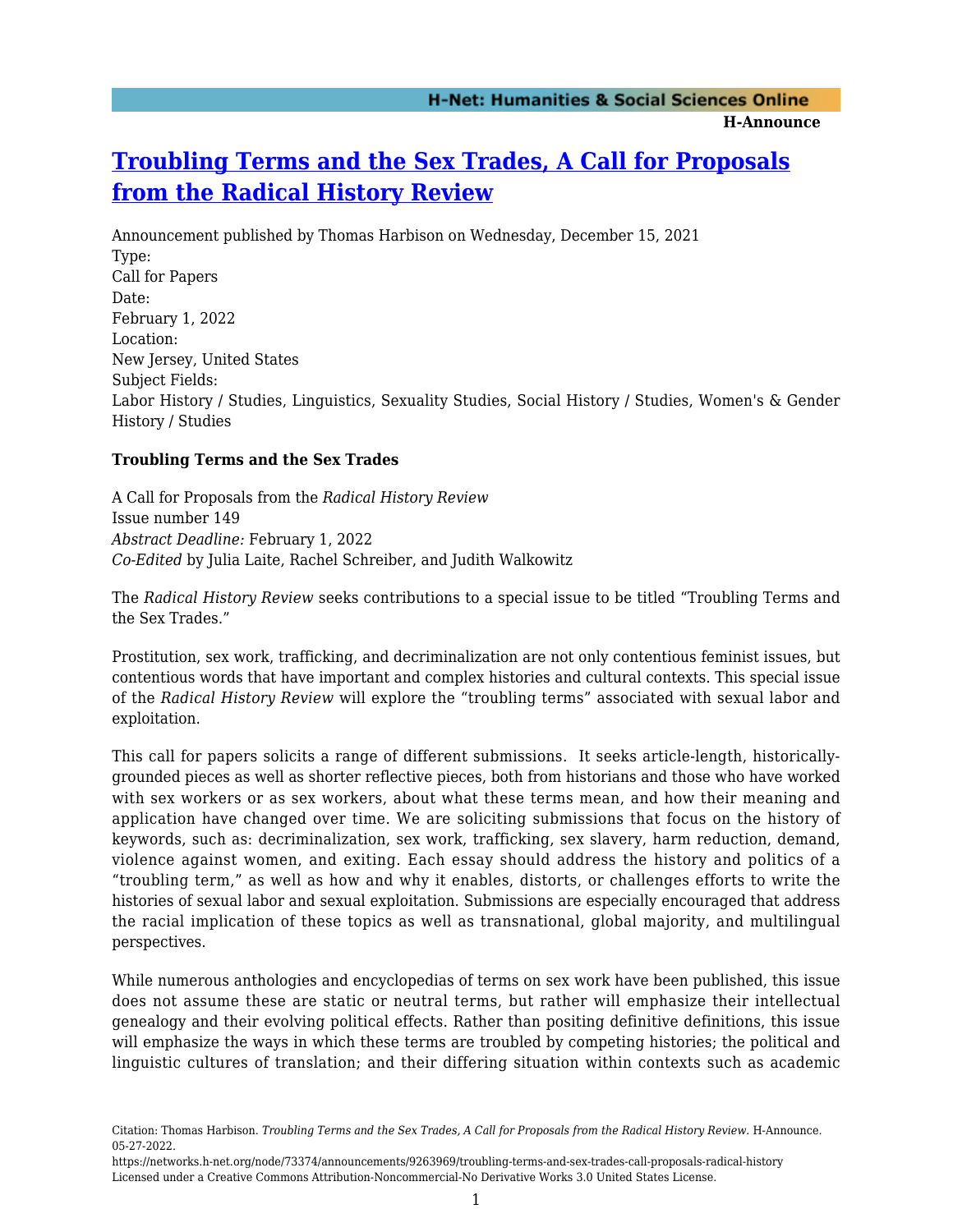## **[Troubling Terms and the Sex Trades, A Call for Proposals](https://networks.h-net.org/node/73374/announcements/9263969/troubling-terms-and-sex-trades-call-proposals-radical-history) [from the Radical History Review](https://networks.h-net.org/node/73374/announcements/9263969/troubling-terms-and-sex-trades-call-proposals-radical-history)**

Announcement published by Thomas Harbison on Wednesday, December 15, 2021 Type: Call for Papers Date: February 1, 2022 Location: New Jersey, United States Subject Fields: Labor History / Studies, Linguistics, Sexuality Studies, Social History / Studies, Women's & Gender History / Studies

## **Troubling Terms and the Sex Trades**

A Call for Proposals from the *Radical History Review* Issue number 149 *Abstract Deadline:* February 1, 2022 *Co-Edited* by Julia Laite, Rachel Schreiber, and Judith Walkowitz

The *Radical History Review* seeks contributions to a special issue to be titled "Troubling Terms and the Sex Trades."

Prostitution, sex work, trafficking, and decriminalization are not only contentious feminist issues, but contentious words that have important and complex histories and cultural contexts. This special issue of the *Radical History Review* will explore the "troubling terms" associated with sexual labor and exploitation.

This call for papers solicits a range of different submissions. It seeks article-length, historicallygrounded pieces as well as shorter reflective pieces, both from historians and those who have worked with sex workers or as sex workers, about what these terms mean, and how their meaning and application have changed over time. We are soliciting submissions that focus on the history of keywords, such as: decriminalization, sex work, trafficking, sex slavery, harm reduction, demand, violence against women, and exiting. Each essay should address the history and politics of a "troubling term," as well as how and why it enables, distorts, or challenges efforts to write the histories of sexual labor and sexual exploitation. Submissions are especially encouraged that address the racial implication of these topics as well as transnational, global majority, and multilingual perspectives.

While numerous anthologies and encyclopedias of terms on sex work have been published, this issue does not assume these are static or neutral terms, but rather will emphasize their intellectual genealogy and their evolving political effects. Rather than positing definitive definitions, this issue will emphasize the ways in which these terms are troubled by competing histories; the political and linguistic cultures of translation; and their differing situation within contexts such as academic

Citation: Thomas Harbison. *Troubling Terms and the Sex Trades, A Call for Proposals from the Radical History Review*. H-Announce. 05-27-2022.

https://networks.h-net.org/node/73374/announcements/9263969/troubling-terms-and-sex-trades-call-proposals-radical-history Licensed under a Creative Commons Attribution-Noncommercial-No Derivative Works 3.0 United States License.